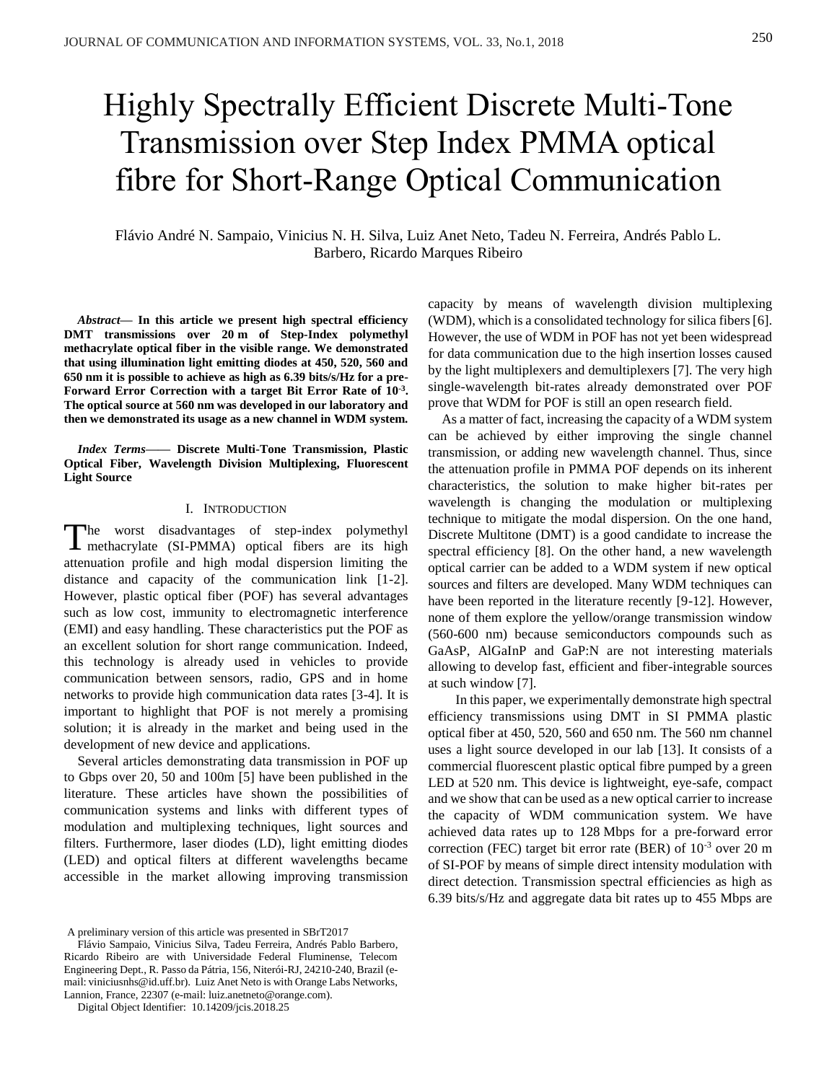# Highly Spectrally Efficient Discrete Multi-Tone Transmission over Step Index PMMA optical fibre for Short-Range Optical Communication

Flávio André N. Sampaio, Vinicius N. H. Silva, Luiz Anet Neto, Tadeu N. Ferreira, Andrés Pablo L. Barbero, Ricardo Marques Ribeiro

*Abstract***— In this article we present high spectral efficiency DMT transmissions over 20 m of Step-Index polymethyl methacrylate optical fiber in the visible range. We demonstrated that using illumination light emitting diodes at 450, 520, 560 and 650 nm it is possible to achieve as high as 6.39 bits/s/Hz for a pre-Forward Error Correction with a target Bit Error Rate of 10-3 . The optical source at 560 nm was developed in our laboratory and then we demonstrated its usage as a new channel in WDM system.**

*Index Terms***—— Discrete Multi-Tone Transmission, Plastic Optical Fiber, Wavelength Division Multiplexing, Fluorescent Light Source**

## I. INTRODUCTION

The worst disadvantages of step-index polymethyl<br>
methacrylate (SI-PMMA) optical fibers are its high methacrylate (SI-PMMA) optical fibers are its high attenuation profile and high modal dispersion limiting the distance and capacity of the communication link [1-2]. However, plastic optical fiber (POF) has several advantages such as low cost, immunity to electromagnetic interference (EMI) and easy handling. These characteristics put the POF as an excellent solution for short range communication. Indeed, this technology is already used in vehicles to provide communication between sensors, radio, GPS and in home networks to provide high communication data rates [3-4]. It is important to highlight that POF is not merely a promising solution; it is already in the market and being used in the development of new device and applications.

Several articles demonstrating data transmission in POF up to Gbps over 20, 50 and 100m [5] have been published in the literature. These articles have shown the possibilities of communication systems and links with different types of modulation and multiplexing techniques, light sources and filters. Furthermore, laser diodes (LD), light emitting diodes (LED) and optical filters at different wavelengths became accessible in the market allowing improving transmission

Flávio Sampaio, Vinicius Silva, Tadeu Ferreira, Andrés Pablo Barbero, Ricardo Ribeiro are with Universidade Federal Fluminense, Telecom Engineering Dept., R. Passo da Pátria, 156, Niterói-RJ, 24210-240, Brazil (email: viniciusnhs@id.uff.br). Luiz Anet Neto is with Orange Labs Networks, Lannion, France, 22307 (e-mail: luiz.anetneto@orange.com).

Digital Object Identifier: 10.14209/jcis.2018.25

capacity by means of wavelength division multiplexing (WDM), which is a consolidated technology for silica fibers [6]. However, the use of WDM in POF has not yet been widespread for data communication due to the high insertion losses caused by the light multiplexers and demultiplexers [7]. The very high single-wavelength bit-rates already demonstrated over POF prove that WDM for POF is still an open research field.

 As a matter of fact, increasing the capacity of a WDM system can be achieved by either improving the single channel transmission, or adding new wavelength channel. Thus, since the attenuation profile in PMMA POF depends on its inherent characteristics, the solution to make higher bit-rates per wavelength is changing the modulation or multiplexing technique to mitigate the modal dispersion. On the one hand, Discrete Multitone (DMT) is a good candidate to increase the spectral efficiency [8]. On the other hand, a new wavelength optical carrier can be added to a WDM system if new optical sources and filters are developed. Many WDM techniques can have been reported in the literature recently [9-12]. However, none of them explore the yellow/orange transmission window (560-600 nm) because semiconductors compounds such as GaAsP, AlGaInP and GaP:N are not interesting materials allowing to develop fast, efficient and fiber-integrable sources at such window [7].

In this paper, we experimentally demonstrate high spectral efficiency transmissions using DMT in SI PMMA plastic optical fiber at 450, 520, 560 and 650 nm. The 560 nm channel uses a light source developed in our lab [13]. It consists of a commercial fluorescent plastic optical fibre pumped by a green LED at 520 nm. This device is lightweight, eye-safe, compact and we show that can be used as a new optical carrier to increase the capacity of WDM communication system. We have achieved data rates up to 128 Mbps for a pre-forward error correction (FEC) target bit error rate (BER) of 10-3 over 20 m of SI-POF by means of simple direct intensity modulation with direct detection. Transmission spectral efficiencies as high as 6.39 bits/s/Hz and aggregate data bit rates up to 455 Mbps are

<sup>1</sup>A preliminary version of this article was presented in SBrT2017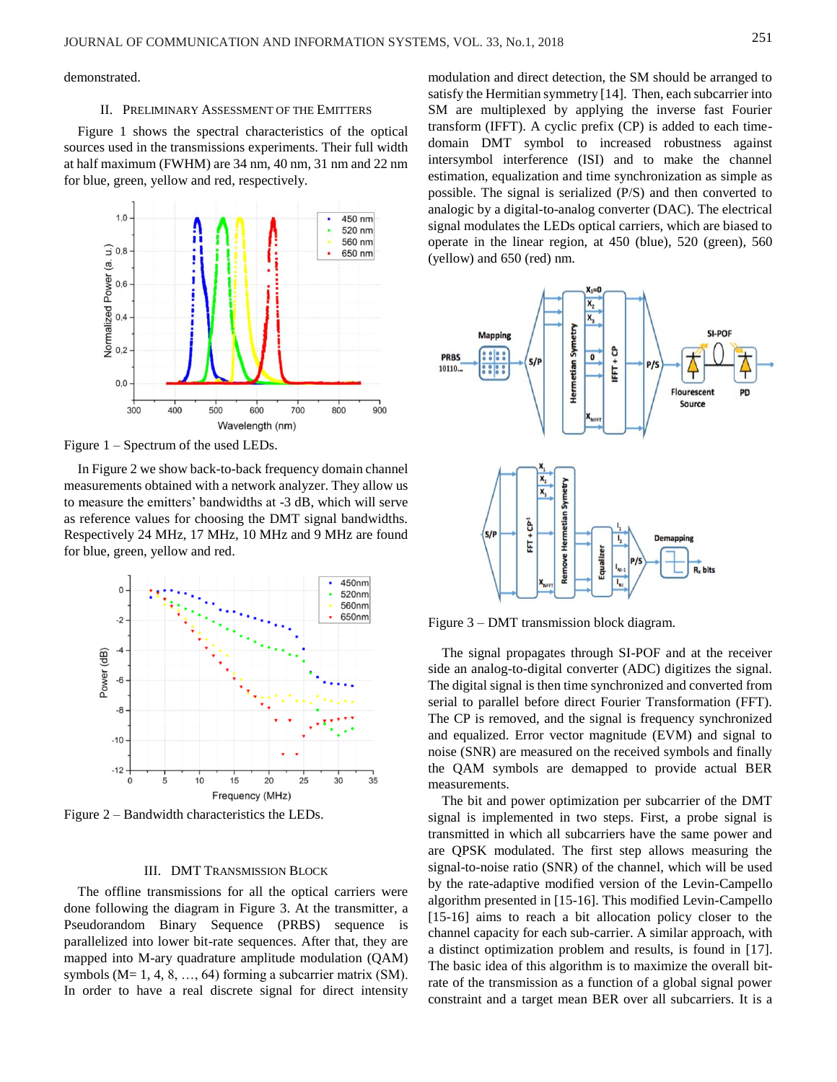demonstrated.

#### II. PRELIMINARY ASSESSMENT OF THE EMITTERS

[Figure 1](#page-1-0) shows the spectral characteristics of the optical sources used in the transmissions experiments. Their full width at half maximum (FWHM) are 34 nm, 40 nm, 31 nm and 22 nm for blue, green, yellow and red, respectively.



<span id="page-1-0"></span>Figure 1 – Spectrum of the used LEDs.

I[n Figure 2](#page-1-1) we show back-to-back frequency domain channel measurements obtained with a network analyzer. They allow us to measure the emitters' bandwidths at -3 dB, which will serve as reference values for choosing the DMT signal bandwidths. Respectively 24 MHz, 17 MHz, 10 MHz and 9 MHz are found for blue, green, yellow and red.



<span id="page-1-1"></span>Figure 2 – Bandwidth characteristics the LEDs.

# III. DMT TRANSMISSION BLOCK

The offline transmissions for all the optical carriers were done following the diagram in [Figure 3.](#page-1-2) At the transmitter, a Pseudorandom Binary Sequence (PRBS) sequence is parallelized into lower bit-rate sequences. After that, they are mapped into M-ary quadrature amplitude modulation (QAM) symbols ( $M= 1, 4, 8, ..., 64$ ) forming a subcarrier matrix (SM). In order to have a real discrete signal for direct intensity

modulation and direct detection, the SM should be arranged to satisfy the Hermitian symmetry [14]. Then, each subcarrier into SM are multiplexed by applying the inverse fast Fourier transform (IFFT). A cyclic prefix (CP) is added to each timedomain DMT symbol to increased robustness against intersymbol interference (ISI) and to make the channel estimation, equalization and time synchronization as simple as possible. The signal is serialized (P/S) and then converted to analogic by a digital-to-analog converter (DAC). The electrical signal modulates the LEDs optical carriers, which are biased to operate in the linear region, at 450 (blue), 520 (green), 560 (yellow) and 650 (red) nm.



<span id="page-1-2"></span>Figure 3 – DMT transmission block diagram.

The signal propagates through SI-POF and at the receiver side an analog-to-digital converter (ADC) digitizes the signal. The digital signal is then time synchronized and converted from serial to parallel before direct Fourier Transformation (FFT). The CP is removed, and the signal is frequency synchronized and equalized. Error vector magnitude (EVM) and signal to noise (SNR) are measured on the received symbols and finally the QAM symbols are demapped to provide actual BER measurements.

The bit and power optimization per subcarrier of the DMT signal is implemented in two steps. First, a probe signal is transmitted in which all subcarriers have the same power and are QPSK modulated. The first step allows measuring the signal-to-noise ratio (SNR) of the channel, which will be used by the rate-adaptive modified version of the Levin-Campello algorithm presented in [15-16]. This modified Levin-Campello [15-16] aims to reach a bit allocation policy closer to the channel capacity for each sub-carrier. A similar approach, with a distinct optimization problem and results, is found in [17]. The basic idea of this algorithm is to maximize the overall bitrate of the transmission as a function of a global signal power constraint and a target mean BER over all subcarriers. It is a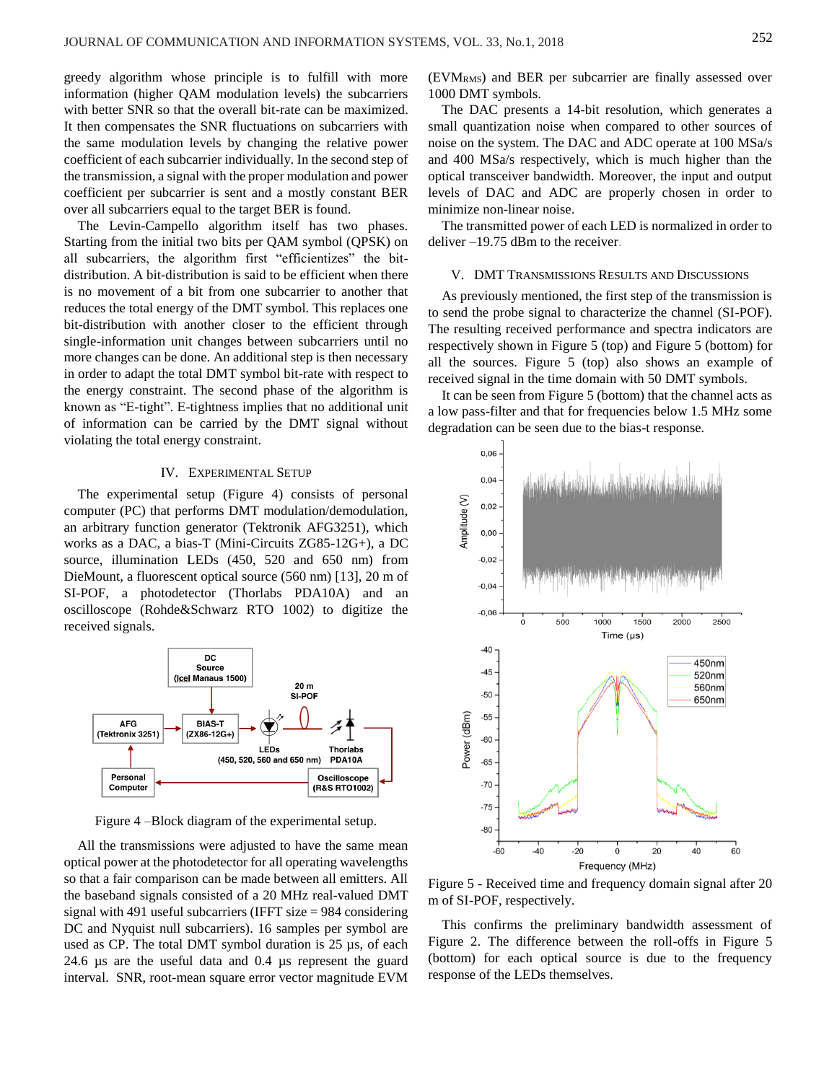greedy algorithm whose principle is to fulfill with more information (higher QAM modulation levels) the subcarriers with better SNR so that the overall bit-rate can be maximized. It then compensates the SNR fluctuations on subcarriers with the same modulation levels by changing the relative power coefficient of each subcarrier individually. In the second step of the transmission, a signal with the proper modulation and power coefficient per subcarrier is sent and a mostly constant BER over all subcarriers equal to the target BER is found.

The Levin-Campello algorithm itself has two phases. Starting from the initial two bits per QAM symbol (QPSK) on all subcarriers, the algorithm first "efficientizes" the bitdistribution. A bit-distribution is said to be efficient when there is no movement of a bit from one subcarrier to another that reduces the total energy of the DMT symbol. This replaces one bit-distribution with another closer to the efficient through single-information unit changes between subcarriers until no more changes can be done. An additional step is then necessary in order to adapt the total DMT symbol bit-rate with respect to the energy constraint. The second phase of the algorithm is known as "E-tight". E-tightness implies that no additional unit of information can be carried by the DMT signal without violating the total energy constraint.

# IV. EXPERIMENTAL SETUP

The experimental setup [\(Figure 4\)](#page-2-0) consists of personal computer (PC) that performs DMT modulation/demodulation, an arbitrary function generator (Tektronik AFG3251), which works as a DAC, a bias-T (Mini-Circuits ZG85-12G+), a DC source, illumination LEDs (450, 520 and 650 nm) from DieMount, a fluorescent optical source (560 nm) [13], 20 m of SI-POF, a photodetector (Thorlabs PDA10A) and an oscilloscope (Rohde&Schwarz RTO 1002) to digitize the received signals.



Figure 4 –Block diagram of the experimental setup.

<span id="page-2-0"></span>All the transmissions were adjusted to have the same mean optical power at the photodetector for all operating wavelengths so that a fair comparison can be made between all emitters. All the baseband signals consisted of a 20 MHz real-valued DMT signal with 491 useful subcarriers (IFFT size = 984 considering DC and Nyquist null subcarriers). 16 samples per symbol are used as CP. The total DMT symbol duration is 25 µs, of each 24.6 µs are the useful data and 0.4 µs represent the guard interval. SNR, root-mean square error vector magnitude EVM  $(EVM<sub>RMS</sub>)$  and BER per subcarrier are finally assessed over 1000 DMT symbols.

The DAC presents a 14-bit resolution, which generates a small quantization noise when compared to other sources of noise on the system. The DAC and ADC operate at 100 MSa/s and 400 MSa/s respectively, which is much higher than the optical transceiver bandwidth. Moreover, the input and output levels of DAC and ADC are properly chosen in order to minimize non-linear noise.

The transmitted power of each LED is normalized in order to deliver –19.75 dBm to the receiver.

## V. DMT TRANSMISSIONS RESULTS AND DISCUSSIONS

As previously mentioned, the first step of the transmission is to send the probe signal to characterize the channel (SI-POF). The resulting received performance and spectra indicators are respectively shown in [Figure 5](#page-2-1) (top) and Figure 5 (bottom) for all the sources. [Figure 5](#page-2-1) (top) also shows an example of received signal in the time domain with 50 DMT symbols.

It can be seen from [Figure 5](#page-2-1) (bottom) that the channel acts as a low pass-filter and that for frequencies below 1.5 MHz some degradation can be seen due to the bias-t response.



<span id="page-2-1"></span>Figure 5 - Received time and frequency domain signal after 20 m of SI-POF, respectively.

This confirms the preliminary bandwidth assessment of [Figure 2.](#page-1-1) The difference between the roll-offs in [Figure 5](#page-2-1) (bottom) for each optical source is due to the frequency response of the LEDs themselves.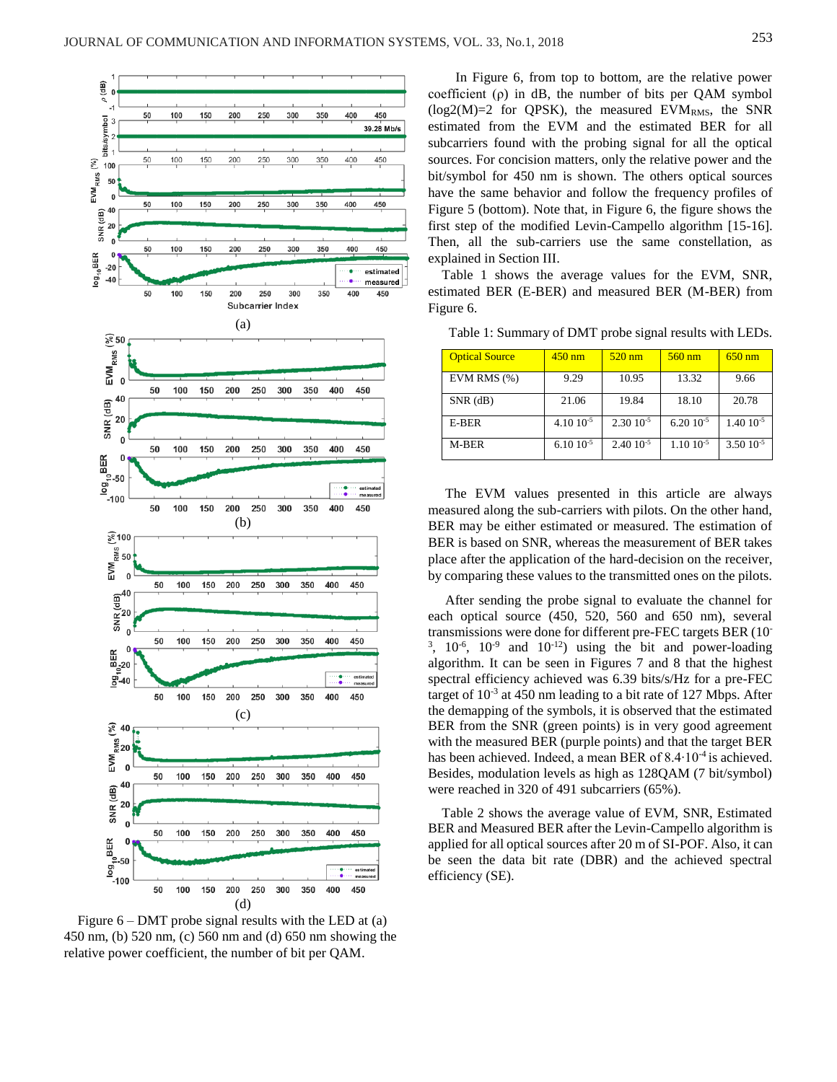

<span id="page-3-0"></span>Figure  $6 - DMT$  probe signal results with the LED at (a) 450 nm, (b) 520 nm, (c) 560 nm and (d) 650 nm showing the relative power coefficient, the number of bit per QAM.

In [Figure 6,](#page-3-0) from top to bottom, are the relative power coefficient  $(\rho)$  in dB, the number of bits per QAM symbol  $(log2(M)=2$  for QPSK), the measured EVM<sub>RMS</sub>, the SNR estimated from the EVM and the estimated BER for all subcarriers found with the probing signal for all the optical sources. For concision matters, only the relative power and the bit/symbol for 450 nm is shown. The others optical sources have the same behavior and follow the frequency profiles of [Figure 5](#page-2-1) (bottom). Note that, in Figure 6, the figure shows the first step of the modified Levin-Campello algorithm [15-16]. Then, all the sub-carriers use the same constellation, as explained in Section III.

Table 1 shows the average values for the EVM, SNR, estimated BER (E-BER) and measured BER (M-BER) from Figure 6.

| <b>Optical Source</b> | $450 \text{ nm}$ | $520 \text{ nm}$ | $560 \text{ nm}$  | $650$ nm          |
|-----------------------|------------------|------------------|-------------------|-------------------|
| EVM RMS $(\%)$        | 9.29             | 10.95            | 13.32             | 9.66              |
| $SNR$ ( $dB$ )        | 21.06            | 19.84            | 18.10             | 20.78             |
| E-BER                 | $4.1010^{-5}$    | $2.30\ 10^{-5}$  | $6.2010^{-5}$     | $1.40 \; 10^{-5}$ |
| M-BER                 | $6.1010^{-5}$    | $2.4010^{-5}$    | $1.10 \, 10^{-5}$ | $3.50\ 10^{-5}$   |

Table 1: Summary of DMT probe signal results with LEDs.

The EVM values presented in this article are always measured along the sub-carriers with pilots. On the other hand, BER may be either estimated or measured. The estimation of BER is based on SNR, whereas the measurement of BER takes place after the application of the hard-decision on the receiver, by comparing these values to the transmitted ones on the pilots.

After sending the probe signal to evaluate the channel for each optical source (450, 520, 560 and 650 nm), several transmissions were done for different pre-FEC targets BER (10-  $3, 10^{-6}, 10^{-9}$  and  $10^{-12}$ ) using the bit and power-loading algorithm. It can be seen in Figures 7 and 8 that the highest spectral efficiency achieved was 6.39 bits/s/Hz for a pre-FEC target of  $10^{-3}$  at 450 nm leading to a bit rate of 127 Mbps. After the demapping of the symbols, it is observed that the estimated BER from the SNR (green points) is in very good agreement with the measured BER (purple points) and that the target BER has been achieved. Indeed, a mean BER of 8.4∙10<sup>-4</sup> is achieved. Besides, modulation levels as high as 128QAM (7 bit/symbol) were reached in 320 of 491 subcarriers (65%).

Table 2 shows the average value of EVM, SNR, Estimated BER and Measured BER after the Levin-Campello algorithm is applied for all optical sources after 20 m of SI-POF. Also, it can be seen the data bit rate (DBR) and the achieved spectral efficiency (SE).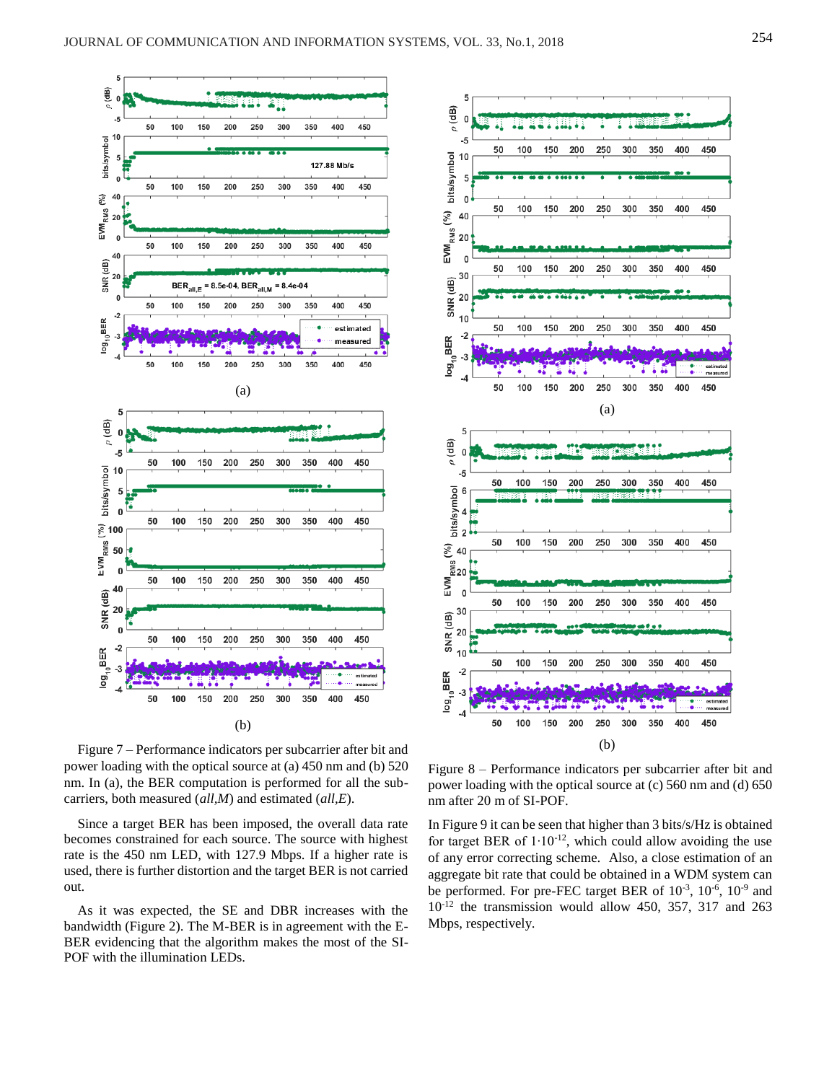5





Figure 7 – Performance indicators per subcarrier after bit and power loading with the optical source at (a) 450 nm and (b) 520 nm. In (a), the BER computation is performed for all the subcarriers, both measured (*all,M*) and estimated (*all,E*).

Since a target BER has been imposed, the overall data rate becomes constrained for each source. The source with highest rate is the 450 nm LED, with 127.9 Mbps. If a higher rate is used, there is further distortion and the target BER is not carried out.

As it was expected, the SE and DBR increases with the bandwidth (Figure 2). The M-BER is in agreement with the E-BER evidencing that the algorithm makes the most of the SI-POF with the illumination LEDs.

Figure 8 – Performance indicators per subcarrier after bit and power loading with the optical source at (c) 560 nm and (d) 650 nm after 20 m of SI-POF.

In Figure 9 it can be seen that higher than 3 bits/s/Hz is obtained for target BER of 1∙10-12, which could allow avoiding the use of any error correcting scheme. Also, a close estimation of an aggregate bit rate that could be obtained in a WDM system can be performed. For pre-FEC target BER of  $10^{-3}$ ,  $10^{-6}$ ,  $10^{-9}$  and 10-12 the transmission would allow 450, 357, 317 and 263 Mbps, respectively.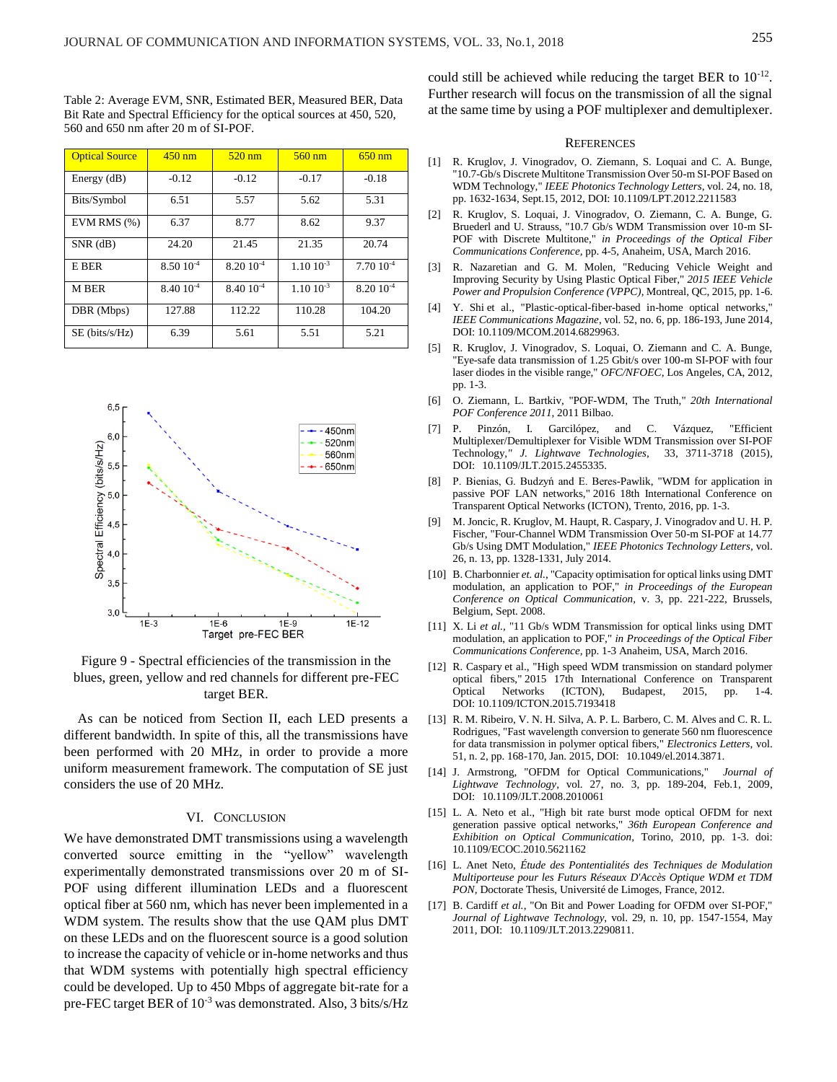Table 2: Average EVM, SNR, Estimated BER, Measured BER, Data Bit Rate and Spectral Efficiency for the optical sources at 450, 520, 560 and 650 nm after 20 m of SI-POF.

| <b>Optical Source</b> | $450$ nm      | $520 \text{ nm}$ | $560 \text{ nm}$     | $650$ nm      |
|-----------------------|---------------|------------------|----------------------|---------------|
| Energy $(dB)$         | $-0.12$       | $-0.12$          | $-0.17$              | $-0.18$       |
| Bits/Symbol           | 6.51          | 5.57             | 5.62                 | 5.31          |
| EVM RMS $(\%)$        | 6.37          | 8.77             | 8.62                 | 9.37          |
| $SNR$ (dB)            | 24.20         | 21.45            | 21.35                | 20.74         |
| E BER                 | $8.5010^{-4}$ | $8.2010^{-4}$    | $1.10 \cdot 10^{-3}$ | $7.7010^{-4}$ |
| M BER                 | $8.4010^{-4}$ | $8.4010^{-4}$    | $1.10 \; 10^{-3}$    | $8.2010^{-4}$ |
| DBR (Mbps)            | 127.88        | 112.22           | 110.28               | 104.20        |
| SE (bits/s/Hz)        | 6.39          | 5.61             | 5.51                 | 5.21          |



Figure 9 - Spectral efficiencies of the transmission in the blues, green, yellow and red channels for different pre-FEC target BER.

As can be noticed from Section II, each LED presents a different bandwidth. In spite of this, all the transmissions have been performed with 20 MHz, in order to provide a more uniform measurement framework. The computation of SE just considers the use of 20 MHz.

## VI. CONCLUSION

We have demonstrated DMT transmissions using a wavelength converted source emitting in the "yellow" wavelength experimentally demonstrated transmissions over 20 m of SI-POF using different illumination LEDs and a fluorescent optical fiber at 560 nm, which has never been implemented in a WDM system. The results show that the use QAM plus DMT on these LEDs and on the fluorescent source is a good solution to increase the capacity of vehicle or in-home networks and thus that WDM systems with potentially high spectral efficiency could be developed. Up to 450 Mbps of aggregate bit-rate for a pre-FEC target BER of 10<sup>-3</sup> was demonstrated. Also, 3 bits/s/Hz

could still be achieved while reducing the target BER to  $10^{-12}$ . Further research will focus on the transmission of all the signal at the same time by using a POF multiplexer and demultiplexer.

#### **REFERENCES**

- [1] R. Kruglov, J. Vinogradov, O. Ziemann, S. Loquai and C. A. Bunge, "10.7-Gb/s Discrete Multitone Transmission Over 50-m SI-POF Based on WDM Technology," *IEEE Photonics Technology Letters*, vol. 24, no. 18, pp. 1632-1634, Sept.15, 2012, DOI: [10.1109/LPT.2012.2211583](https://doi.org/10.1109/LPT.2012.2211583)
- [2] R. Kruglov, S. Loquai, J. Vinogradov, O. Ziemann, C. A. Bunge, G. Bruederl and U. Strauss, "10.7 Gb/s WDM Transmission over 10-m SI-POF with Discrete Multitone," *in Proceedings of the Optical Fiber Communications Conference,* pp. 4-5, Anaheim, USA, March 2016.
- [3] R. Nazaretian and G. M. Molen, "Reducing Vehicle Weight and Improving Security by Using Plastic Optical Fiber," *2015 IEEE Vehicle Power and Propulsion Conference (VPPC)*, Montreal, QC, 2015, pp. 1-6.
- [4] Y. Shi et al., "Plastic-optical-fiber-based in-home optical networks," *IEEE Communications Magazine*, vol. 52, no. 6, pp. 186-193, June 2014, DOI[: 10.1109/MCOM.2014.6829963.](https://doi.org/10.1109/MCOM.2014.6829963)
- [5] R. Kruglov, J. Vinogradov, S. Loquai, O. Ziemann and C. A. Bunge, "Eye-safe data transmission of 1.25 Gbit/s over 100-m SI-POF with four laser diodes in the visible range," *OFC/NFOEC*, Los Angeles, CA, 2012, pp. 1-3.
- [6] O. Ziemann, L. Bartkiv, "POF-WDM, The Truth," *20th International POF Conference 2011*, 2011 Bilbao.
- [7] P. Pinzón, I. Garcilópez, and C. Vázquez, "Efficient Multiplexer/Demultiplexer for Visible WDM Transmission over SI-POF Technology*," J. Lightwave Technologies*, 33, 3711-3718 (2015), DOI: [10.1109/JLT.2015.2455335.](https://doi.org/10.1109/JLT.2015.2455335)
- [8] P. Bienias, G. Budzyń and E. Beres-Pawlik, "WDM for application in passive POF LAN networks," 2016 18th International Conference on Transparent Optical Networks (ICTON), Trento, 2016, pp. 1-3.
- [9] M. Joncic, R. Kruglov, M. Haupt, R. Caspary, J. Vinogradov and U. H. P. Fischer, "Four-Channel WDM Transmission Over 50-m SI-POF at 14.77 Gb/s Using DMT Modulation," *IEEE Photonics Technology Letters,* vol. 26, n. 13, pp. 1328-1331, July 2014.
- [10] B. Charbonnier *et. al.*, "Capacity optimisation for optical links using DMT modulation, an application to POF," *in Proceedings of the European Conference on Optical Communication,* v. 3, pp. 221-222, Brussels, Belgium, Sept. 2008.
- [11] X. Li *et al.,* "11 Gb/s WDM Transmission for optical links using DMT modulation, an application to POF," *in Proceedings of the Optical Fiber Communications Conference,* pp. 1-3 Anaheim, USA, March 2016.
- [12] R. Caspary et al., "High speed WDM transmission on standard polymer optical fibers," 2015 17th International Conference on Transparent Optical Networks (ICTON), Budapest, 2015, pp. 1-4. DOI: 10.1109/ICTON.2015.7193418
- [13] R. M. Ribeiro, V. N. H. Silva, A. P. L. Barbero, C. M. Alves and C. R. L. Rodrigues, "Fast wavelength conversion to generate 560 nm fluorescence for data transmission in polymer optical fibers," *Electronics Letters*, vol. 51, n. 2, pp. 168-170, Jan. 2015, DOI: [10.1049/el.2014.3871.](https://doi.org/10.1049/el.2014.3871)
- [14] J. Armstrong, "OFDM for Optical Communications," *Journal of Lightwave Technology*, vol. 27, no. 3, pp. 189-204, Feb.1, 2009, DOI: [10.1109/JLT.2008.2010061](https://doi.org/10.1109/JLT.2008.2010061)
- [15] L. A. Neto et al., "High bit rate burst mode optical OFDM for next generation passive optical networks," *36th European Conference and Exhibition on Optical Communication,* Torino, 2010, pp. 1-3. doi: 10.1109/ECOC.2010.5621162
- [16] L. Anet Neto, *Étude des Pontentialités des Techniques de Modulation Multiporteuse pour les Futurs Réseaux D'Accès Optique WDM et TDM PON,* Doctorate Thesis, Université de Limoges, France, 2012.
- [17] B. Cardiff *et al.*, "On Bit and Power Loading for OFDM over SI-POF," *Journal of Lightwave Technology,* vol. 29, n. 10, pp. 1547-1554, May 2011, DOI: [10.1109/JLT.2013.2290811.](https://doi.org/10.1109/JLT.2013.2290811)